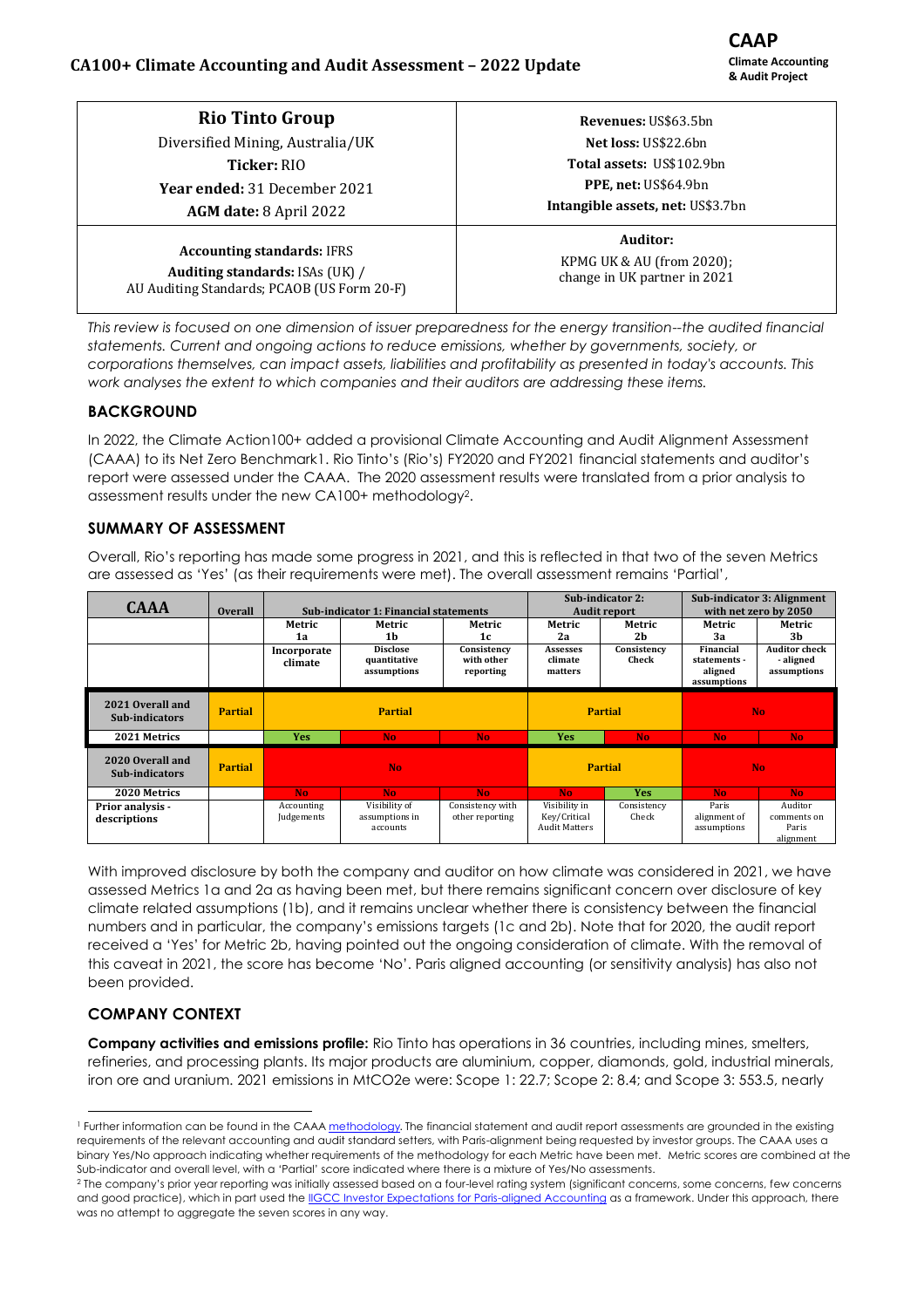### **CA100+ Climate Accounting and Audit Assessment – 2022 Update**

**CAAP Climate Accounting & Audit Project**

| <b>Rio Tinto Group</b>                                                                                              | Revenues: US\$63.5bn                                                  |  |  |  |
|---------------------------------------------------------------------------------------------------------------------|-----------------------------------------------------------------------|--|--|--|
| Diversified Mining, Australia/UK                                                                                    | Net loss: US\$22.6bn                                                  |  |  |  |
| <b>Ticker: RIO</b>                                                                                                  | <b>Total assets: US\$102.9bn</b>                                      |  |  |  |
| Year ended: 31 December 2021                                                                                        | PPE, net: US\$64.9bn<br><b>Intangible assets, net: US\$3.7bn</b>      |  |  |  |
| AGM date: 8 April 2022                                                                                              |                                                                       |  |  |  |
| <b>Accounting standards: IFRS</b><br>Auditing standards: ISAs (UK) /<br>AU Auditing Standards; PCAOB (US Form 20-F) | Auditor:<br>KPMG UK & AU (from 2020);<br>change in UK partner in 2021 |  |  |  |

*This review is focused on one dimension of issuer preparedness for the energy transition--the audited financial statements. Current and ongoing actions to reduce emissions, whether by governments, society, or corporations themselves, can impact assets, liabilities and profitability as presented in today's accounts. This work analyses the extent to which companies and their auditors are addressing these items.*

### **BACKGROUND**

In 2022, the Climate Action100+ added a provisional Climate Accounting and Audit Alignment Assessment (CAAA) to its Net Zero Benchmark1. Rio Tinto's (Rio's) FY2020 and FY2021 financial statements and auditor's report were assessed under the CAAA. The 2020 assessment results were translated from a prior analysis to assessment results under the new CA100+ methodology $^2$ .

#### **SUMMARY OF ASSESSMENT**

Overall, Rio's reporting has made some progress in 2021, and this is reflected in that two of the seven Metrics are assessed as 'Yes' (as their requirements were met). The overall assessment remains 'Partial',

| <b>CAAA</b>                             | <b>Overall</b> | <b>Sub-indicator 1: Financial statements</b> |                                                |                                        | Sub-indicator 2:<br><b>Audit report</b>               |                      | Sub-indicator 3: Alignment<br>with net zero by 2050 |                                                  |
|-----------------------------------------|----------------|----------------------------------------------|------------------------------------------------|----------------------------------------|-------------------------------------------------------|----------------------|-----------------------------------------------------|--------------------------------------------------|
|                                         |                | Metric                                       | Metric                                         | Metric                                 | Metric                                                | Metric               | Metric                                              | Metric                                           |
|                                         |                | 1a                                           | 1b                                             | 1c                                     | 2a                                                    | 2h                   | За                                                  | 3h                                               |
|                                         |                | Incorporate<br>climate                       | <b>Disclose</b><br>quantitative<br>assumptions | Consistency<br>with other<br>reporting | Assesses<br>climate<br>matters                        | Consistency<br>Check | Financial<br>statements -<br>aligned<br>assumptions | <b>Auditor check</b><br>- aligned<br>assumptions |
| 2021 Overall and<br>Sub-indicators      | <b>Partial</b> | <b>Partial</b>                               |                                                | <b>Partial</b>                         |                                                       | No.                  |                                                     |                                                  |
| 2021 Metrics                            |                | <b>Yes</b>                                   | N <sub>o</sub>                                 | <b>No</b>                              | <b>Yes</b>                                            | No.                  | No.                                                 | N <sub>o</sub>                                   |
| 2020 Overall and<br>Sub-indicators      | <b>Partial</b> | <b>No</b>                                    |                                                | <b>Partial</b>                         |                                                       | No.                  |                                                     |                                                  |
| 2020 Metrics                            |                | No.                                          | No.                                            | <b>No</b>                              | No.                                                   | <b>Yes</b>           | No.                                                 | No.                                              |
| <b>Prior analysis -</b><br>descriptions |                | Accounting<br>Judgements                     | Visibility of<br>assumptions in<br>accounts    | Consistency with<br>other reporting    | Visibility in<br>Key/Critical<br><b>Audit Matters</b> | Consistency<br>Check | Paris<br>alignment of<br>assumptions                | Auditor<br>comments on<br>Paris<br>alignment     |

With improved disclosure by both the company and auditor on how climate was considered in 2021, we have assessed Metrics 1a and 2a as having been met, but there remains significant concern over disclosure of key climate related assumptions (1b), and it remains unclear whether there is consistency between the financial numbers and in particular, the company's emissions targets (1c and 2b). Note that for 2020, the audit report received a 'Yes' for Metric 2b, having pointed out the ongoing consideration of climate. With the removal of this caveat in 2021, the score has become 'No'. Paris aligned accounting (or sensitivity analysis) has also not been provided.

### **COMPANY CONTEXT**

**Company activities and emissions profile:** Rio Tinto has operations in 36 countries, including mines, smelters, refineries, and processing plants. Its major products are aluminium, copper, diamonds, gold, industrial minerals, iron ore and uranium. 2021 emissions in MtCO2e were: Scope 1: 22.7; Scope 2: 8.4; and Scope 3: 553.5, nearly

<sup>&</sup>lt;sup>1</sup> Further information can be found in the CAAA [methodology](https://www.climateaction100.org/wp-content/uploads/2021/11/CA100-CTI_CAP-Accounting-and-Audit-Indicator-methodology-Nov-21.pdf). The financial statement and audit report assessments are grounded in the existing requirements of the relevant accounting and audit standard setters, with Paris-alignment being requested by investor groups. The CAAA uses a binary Yes/No approach indicating whether requirements of the methodology for each Metric have been met. Metric scores are combined at the Sub-indicator and overall level, with a 'Partial' score indicated where there is a mixture of Yes/No assessments.

<sup>&</sup>lt;sup>2</sup> The company's prior year reporting was initially assessed based on a four-level rating system (significant concerns, some concerns, few concerns and good practice), which in part used th[e IIGCC Investor Expectations for Paris-aligned Accounting](https://www.iigcc.org/download/investor-expectations-for-paris-aligned-accounts/?wpdmdl=4001&refresh=6238f52ce6aa31647899948) as a framework. Under this approach, there was no attempt to aggregate the seven scores in any way.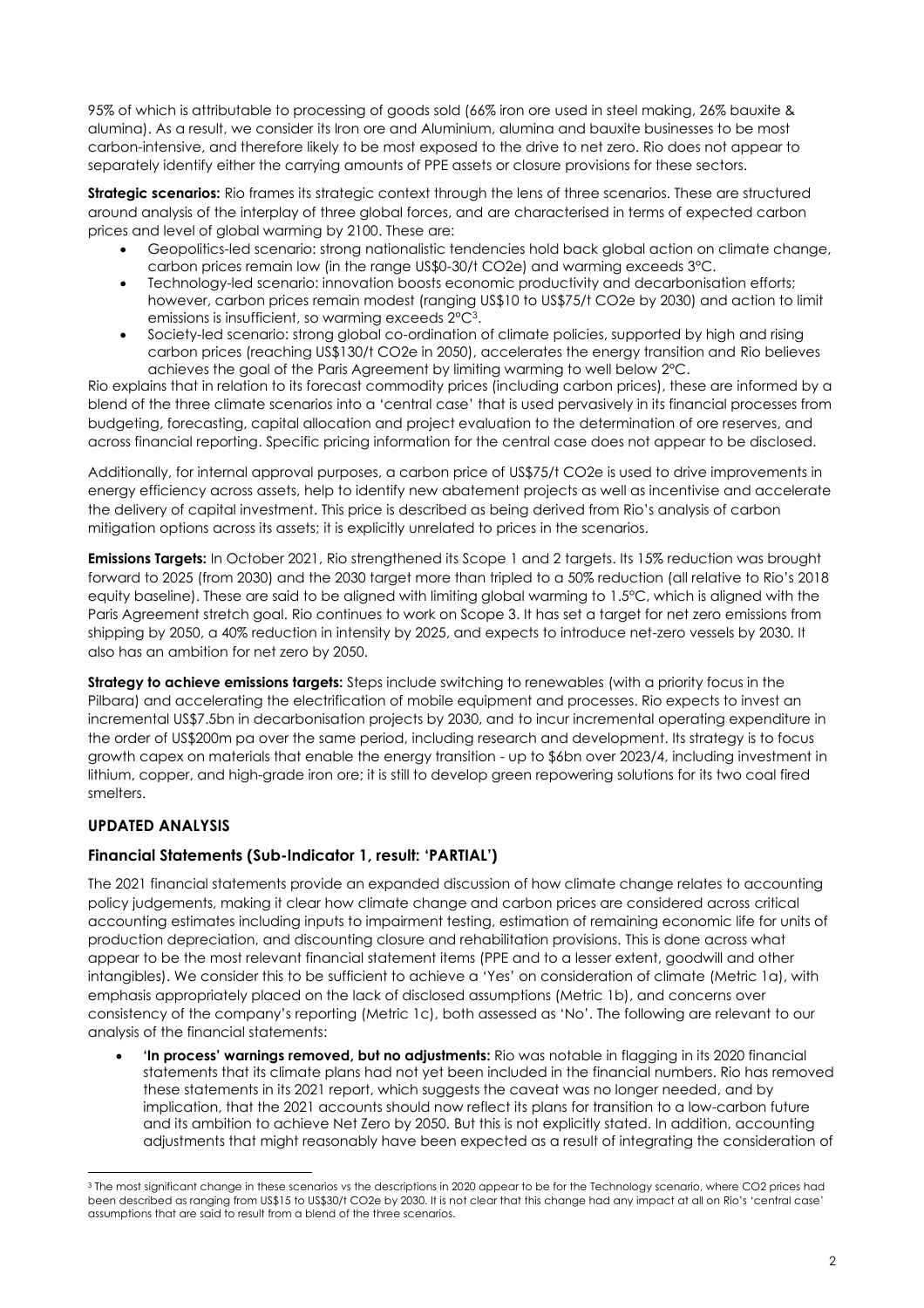95% of which is attributable to processing of goods sold (66% iron ore used in steel making, 26% bauxite & alumina). As a result, we consider its Iron ore and Aluminium, alumina and bauxite businesses to be most carbon-intensive, and therefore likely to be most exposed to the drive to net zero. Rio does not appear to separately identify either the carrying amounts of PPE assets or closure provisions for these sectors.

**Strategic scenarios:** Rio frames its strategic context through the lens of three scenarios. These are structured around analysis of the interplay of three global forces, and are characterised in terms of expected carbon prices and level of global warming by 2100. These are:

- Geopolitics-led scenario: strong nationalistic tendencies hold back global action on climate change, carbon prices remain low (in the range US\$0-30/t CO2e) and warming exceeds 3°C.
- Technology-led scenario: innovation boosts economic productivity and decarbonisation efforts; however, carbon prices remain modest (ranging US\$10 to US\$75/t CO2e by 2030) and action to limit emissions is insufficient, so warming exceeds  $2^{\circ}C^3$ .
- Society-led scenario: strong global co-ordination of climate policies, supported by high and rising carbon prices (reaching US\$130/t CO2e in 2050), accelerates the energy transition and Rio believes achieves the goal of the Paris Agreement by limiting warming to well below 2°C.

Rio explains that in relation to its forecast commodity prices (including carbon prices), these are informed by a blend of the three climate scenarios into a 'central case' that is used pervasively in its financial processes from budgeting, forecasting, capital allocation and project evaluation to the determination of ore reserves, and across financial reporting. Specific pricing information for the central case does not appear to be disclosed.

Additionally, for internal approval purposes, a carbon price of US\$75/t CO2e is used to drive improvements in energy efficiency across assets, help to identify new abatement projects as well as incentivise and accelerate the delivery of capital investment. This price is described as being derived from Rio's analysis of carbon mitigation options across its assets; it is explicitly unrelated to prices in the scenarios.

**Emissions Targets:** In October 2021, Rio strengthened its Scope 1 and 2 targets. Its 15% reduction was brought forward to 2025 (from 2030) and the 2030 target more than tripled to a 50% reduction (all relative to Rio's 2018 equity baseline). These are said to be aligned with limiting global warming to 1.5°C, which is aligned with the Paris Agreement stretch goal. Rio continues to work on Scope 3. It has set a target for net zero emissions from shipping by 2050, a 40% reduction in intensity by 2025, and expects to introduce net-zero vessels by 2030. It also has an ambition for net zero by 2050.

**Strategy to achieve emissions targets:** Steps include switching to renewables (with a priority focus in the Pilbara) and accelerating the electrification of mobile equipment and processes. Rio expects to invest an incremental US\$7.5bn in decarbonisation projects by 2030, and to incur incremental operating expenditure in the order of US\$200m pa over the same period, including research and development. Its strategy is to focus growth capex on materials that enable the energy transition - up to \$6bn over 2023/4, including investment in lithium, copper, and high-grade iron ore; it is still to develop green repowering solutions for its two coal fired smelters.

# **UPDATED ANALYSIS**

# **Financial Statements (Sub-Indicator 1, result: 'PARTIAL')**

The 2021 financial statements provide an expanded discussion of how climate change relates to accounting policy judgements, making it clear how climate change and carbon prices are considered across critical accounting estimates including inputs to impairment testing, estimation of remaining economic life for units of production depreciation, and discounting closure and rehabilitation provisions. This is done across what appear to be the most relevant financial statement items (PPE and to a lesser extent, goodwill and other intangibles). We consider this to be sufficient to achieve a 'Yes' on consideration of climate (Metric 1a), with emphasis appropriately placed on the lack of disclosed assumptions (Metric 1b), and concerns over consistency of the company's reporting (Metric 1c), both assessed as 'No'. The following are relevant to our analysis of the financial statements:

• **'In process' warnings removed, but no adjustments:** Rio was notable in flagging in its 2020 financial statements that its climate plans had not yet been included in the financial numbers. Rio has removed these statements in its 2021 report, which suggests the caveat was no longer needed, and by implication, that the 2021 accounts should now reflect its plans for transition to a low-carbon future and its ambition to achieve Net Zero by 2050. But this is not explicitly stated. In addition, accounting adjustments that might reasonably have been expected as a result of integrating the consideration of

<sup>3</sup> The most significant change in these scenarios vs the descriptions in 2020 appear to be for the Technology scenario, where CO2 prices had been described as ranging from US\$15 to US\$30/t CO2e by 2030. It is not clear that this change had any impact at all on Rio's 'central case' assumptions that are said to result from a blend of the three scenarios.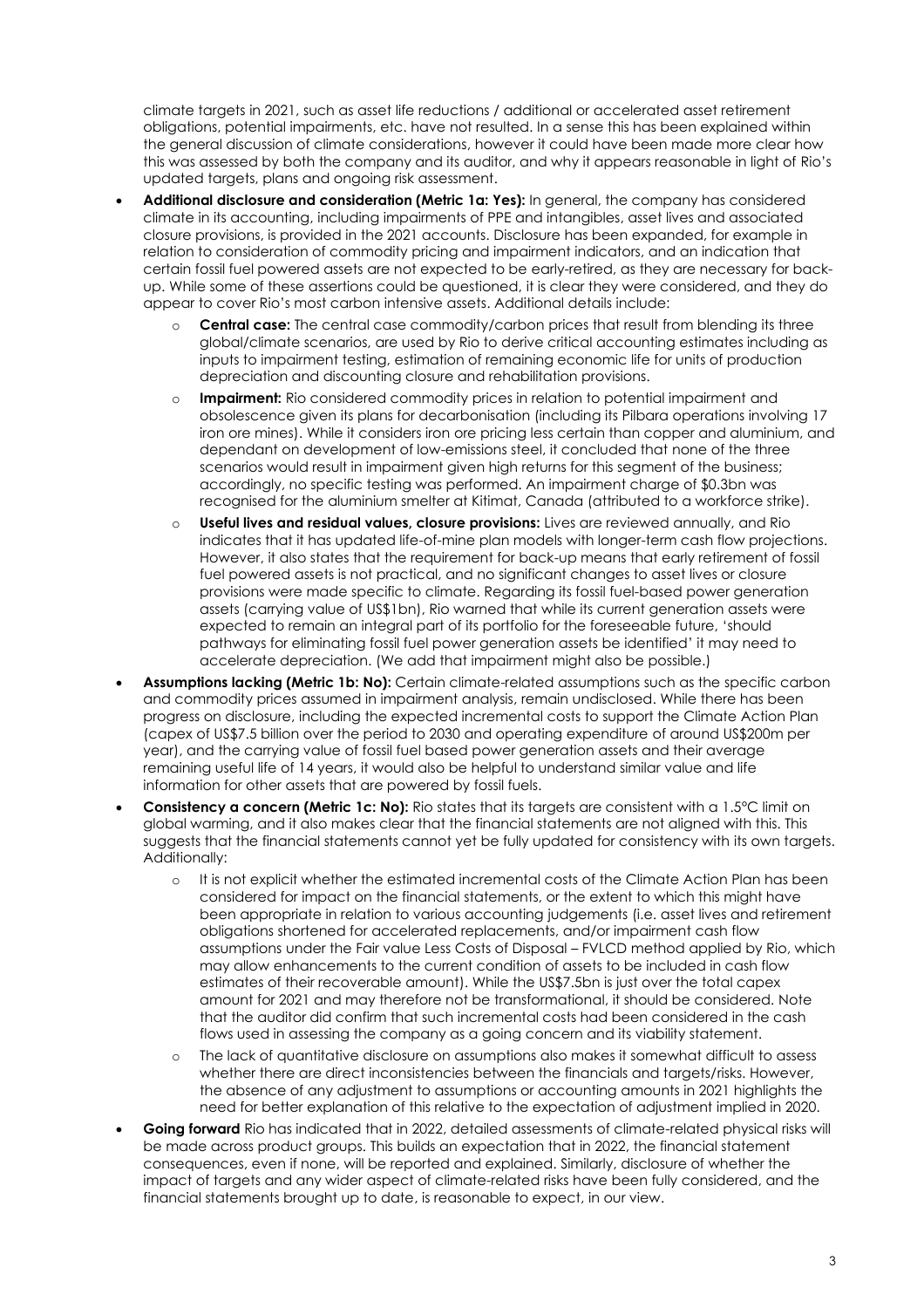climate targets in 2021, such as asset life reductions / additional or accelerated asset retirement obligations, potential impairments, etc. have not resulted. In a sense this has been explained within the general discussion of climate considerations, however it could have been made more clear how this was assessed by both the company and its auditor, and why it appears reasonable in light of Rio's updated targets, plans and ongoing risk assessment.

- **Additional disclosure and consideration (Metric 1a: Yes):** In general, the company has considered climate in its accounting, including impairments of PPE and intangibles, asset lives and associated closure provisions, is provided in the 2021 accounts. Disclosure has been expanded, for example in relation to consideration of commodity pricing and impairment indicators, and an indication that certain fossil fuel powered assets are not expected to be early-retired, as they are necessary for backup. While some of these assertions could be questioned, it is clear they were considered, and they do appear to cover Rio's most carbon intensive assets. Additional details include:
	- **Central case:** The central case commodity/carbon prices that result from blending its three global/climate scenarios, are used by Rio to derive critical accounting estimates including as inputs to impairment testing, estimation of remaining economic life for units of production depreciation and discounting closure and rehabilitation provisions.
	- o **Impairment:** Rio considered commodity prices in relation to potential impairment and obsolescence given its plans for decarbonisation (including its Pilbara operations involving 17 iron ore mines). While it considers iron ore pricing less certain than copper and aluminium, and dependant on development of low-emissions steel, it concluded that none of the three scenarios would result in impairment given high returns for this segment of the business; accordingly, no specific testing was performed. An impairment charge of \$0.3bn was recognised for the aluminium smelter at Kitimat, Canada (attributed to a workforce strike).
	- o **Useful lives and residual values, closure provisions:** Lives are reviewed annually, and Rio indicates that it has updated life-of-mine plan models with longer-term cash flow projections. However, it also states that the requirement for back-up means that early retirement of fossil fuel powered assets is not practical, and no significant changes to asset lives or closure provisions were made specific to climate. Regarding its fossil fuel-based power generation assets (carrying value of US\$1bn), Rio warned that while its current generation assets were expected to remain an integral part of its portfolio for the foreseeable future, 'should pathways for eliminating fossil fuel power generation assets be identified' it may need to accelerate depreciation. (We add that impairment might also be possible.)
- **Assumptions lacking (Metric 1b: No):** Certain climate-related assumptions such as the specific carbon and commodity prices assumed in impairment analysis, remain undisclosed. While there has been progress on disclosure, including the expected incremental costs to support the Climate Action Plan (capex of US\$7.5 billion over the period to 2030 and operating expenditure of around US\$200m per year), and the carrying value of fossil fuel based power generation assets and their average remaining useful life of 14 years, it would also be helpful to understand similar value and life information for other assets that are powered by fossil fuels.
- **Consistency a concern (Metric 1c: No):** Rio states that its targets are consistent with a 1.5°C limit on global warming, and it also makes clear that the financial statements are not aligned with this. This suggests that the financial statements cannot yet be fully updated for consistency with its own targets. Additionally:
	- o It is not explicit whether the estimated incremental costs of the Climate Action Plan has been considered for impact on the financial statements, or the extent to which this might have been appropriate in relation to various accounting judgements (i.e. asset lives and retirement obligations shortened for accelerated replacements, and/or impairment cash flow assumptions under the Fair value Less Costs of Disposal – FVLCD method applied by Rio, which may allow enhancements to the current condition of assets to be included in cash flow estimates of their recoverable amount). While the US\$7.5bn is just over the total capex amount for 2021 and may therefore not be transformational, it should be considered. Note that the auditor did confirm that such incremental costs had been considered in the cash flows used in assessing the company as a going concern and its viability statement.
	- o The lack of quantitative disclosure on assumptions also makes it somewhat difficult to assess whether there are direct inconsistencies between the financials and targets/risks. However, the absence of any adjustment to assumptions or accounting amounts in 2021 highlights the need for better explanation of this relative to the expectation of adjustment implied in 2020.
- **Going forward** Rio has indicated that in 2022, detailed assessments of climate-related physical risks will be made across product groups. This builds an expectation that in 2022, the financial statement consequences, even if none, will be reported and explained. Similarly, disclosure of whether the impact of targets and any wider aspect of climate-related risks have been fully considered, and the financial statements brought up to date, is reasonable to expect, in our view.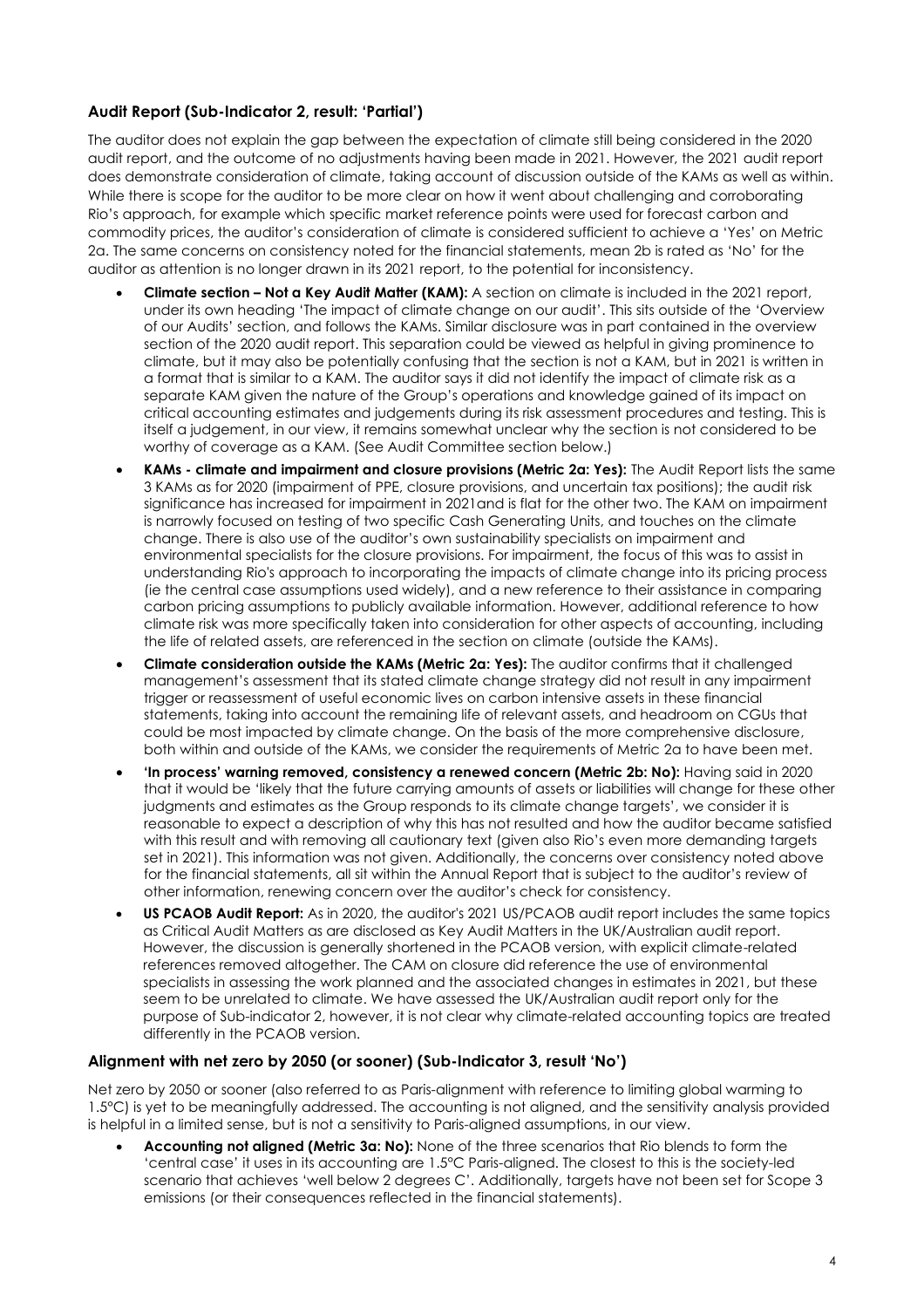## **Audit Report (Sub-Indicator 2, result: 'Partial')**

The auditor does not explain the gap between the expectation of climate still being considered in the 2020 audit report, and the outcome of no adjustments having been made in 2021. However, the 2021 audit report does demonstrate consideration of climate, taking account of discussion outside of the KAMs as well as within. While there is scope for the auditor to be more clear on how it went about challenging and corroborating Rio's approach, for example which specific market reference points were used for forecast carbon and commodity prices, the auditor's consideration of climate is considered sufficient to achieve a 'Yes' on Metric 2a. The same concerns on consistency noted for the financial statements, mean 2b is rated as 'No' for the auditor as attention is no longer drawn in its 2021 report, to the potential for inconsistency.

- **Climate section – Not a Key Audit Matter (KAM):** A section on climate is included in the 2021 report, under its own heading 'The impact of climate change on our audit'. This sits outside of the 'Overview of our Audits' section, and follows the KAMs. Similar disclosure was in part contained in the overview section of the 2020 audit report. This separation could be viewed as helpful in giving prominence to climate, but it may also be potentially confusing that the section is not a KAM, but in 2021 is written in a format that is similar to a KAM. The auditor says it did not identify the impact of climate risk as a separate KAM given the nature of the Group's operations and knowledge gained of its impact on critical accounting estimates and judgements during its risk assessment procedures and testing. This is itself a judgement, in our view, it remains somewhat unclear why the section is not considered to be worthy of coverage as a KAM. (See Audit Committee section below.)
- **KAMs - climate and impairment and closure provisions (Metric 2a: Yes):** The Audit Report lists the same 3 KAMs as for 2020 (impairment of PPE, closure provisions, and uncertain tax positions); the audit risk significance has increased for impairment in 2021and is flat for the other two. The KAM on impairment is narrowly focused on testing of two specific Cash Generating Units, and touches on the climate change. There is also use of the auditor's own sustainability specialists on impairment and environmental specialists for the closure provisions. For impairment, the focus of this was to assist in understanding Rio's approach to incorporating the impacts of climate change into its pricing process (ie the central case assumptions used widely), and a new reference to their assistance in comparing carbon pricing assumptions to publicly available information. However, additional reference to how climate risk was more specifically taken into consideration for other aspects of accounting, including the life of related assets, are referenced in the section on climate (outside the KAMs).
- **Climate consideration outside the KAMs (Metric 2a: Yes):** The auditor confirms that it challenged management's assessment that its stated climate change strategy did not result in any impairment trigger or reassessment of useful economic lives on carbon intensive assets in these financial statements, taking into account the remaining life of relevant assets, and headroom on CGUs that could be most impacted by climate change. On the basis of the more comprehensive disclosure, both within and outside of the KAMs, we consider the requirements of Metric 2a to have been met.
- **'In process' warning removed, consistency a renewed concern (Metric 2b: No):** Having said in 2020 that it would be 'likely that the future carrying amounts of assets or liabilities will change for these other judgments and estimates as the Group responds to its climate change targets', we consider it is reasonable to expect a description of why this has not resulted and how the auditor became satisfied with this result and with removing all cautionary text (given also Rio's even more demanding targets set in 2021). This information was not given. Additionally, the concerns over consistency noted above for the financial statements, all sit within the Annual Report that is subject to the auditor's review of other information, renewing concern over the auditor's check for consistency.
- **US PCAOB Audit Report:** As in 2020, the auditor's 2021 US/PCAOB audit report includes the same topics as Critical Audit Matters as are disclosed as Key Audit Matters in the UK/Australian audit report. However, the discussion is generally shortened in the PCAOB version, with explicit climate-related references removed altogether. The CAM on closure did reference the use of environmental specialists in assessing the work planned and the associated changes in estimates in 2021, but these seem to be unrelated to climate. We have assessed the UK/Australian audit report only for the purpose of Sub-indicator 2, however, it is not clear why climate-related accounting topics are treated differently in the PCAOB version.

### **Alignment with net zero by 2050 (or sooner) (Sub-Indicator 3, result 'No')**

Net zero by 2050 or sooner (also referred to as Paris-alignment with reference to limiting global warming to 1.5°C) is yet to be meaningfully addressed. The accounting is not aligned, and the sensitivity analysis provided is helpful in a limited sense, but is not a sensitivity to Paris-aligned assumptions, in our view.

• **Accounting not aligned (Metric 3a: No):** None of the three scenarios that Rio blends to form the 'central case' it uses in its accounting are 1.5°C Paris-aligned. The closest to this is the society-led scenario that achieves 'well below 2 degrees C'. Additionally, targets have not been set for Scope 3 emissions (or their consequences reflected in the financial statements).